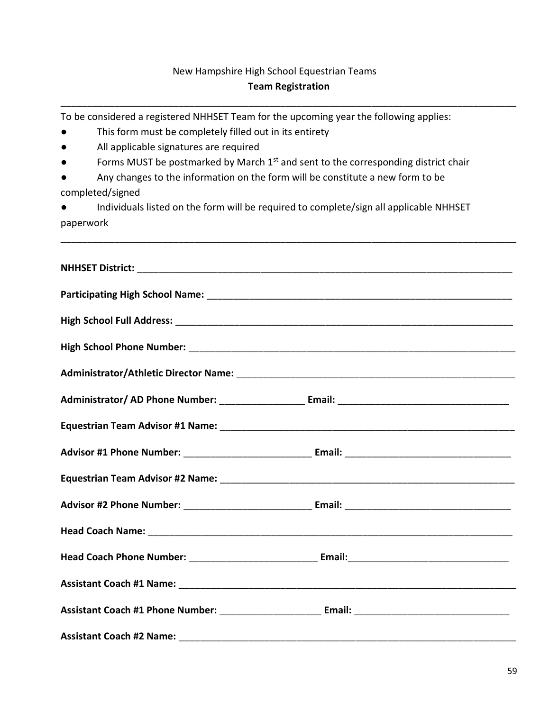## New Hampshire High School Equestrian Teams Team Registration

\_\_\_\_\_\_\_\_\_\_\_\_\_\_\_\_\_\_\_\_\_\_\_\_\_\_\_\_\_\_\_\_\_\_\_\_\_\_\_\_\_\_\_\_\_\_\_\_\_\_\_\_\_\_\_\_\_\_\_\_\_\_\_\_\_\_\_\_\_\_\_\_\_\_\_\_\_\_\_\_\_\_\_\_\_

\_\_\_\_\_\_\_\_\_\_\_\_\_\_\_\_\_\_\_\_\_\_\_\_\_\_\_\_\_\_\_\_\_\_\_\_\_\_\_\_\_\_\_\_\_\_\_\_\_\_\_\_\_\_\_\_\_\_\_\_\_\_\_\_\_\_\_\_\_\_\_\_\_\_\_\_\_\_\_\_\_\_\_\_\_

To be considered a registered NHHSET Team for the upcoming year the following applies:

- This form must be completely filled out in its entirety
- All applicable signatures are required
- **•** Forms MUST be postmarked by March  $1^{st}$  and sent to the corresponding district chair
- Any changes to the information on the form will be constitute a new form to be completed/signed
- Individuals listed on the form will be required to complete/sign all applicable NHHSET paperwork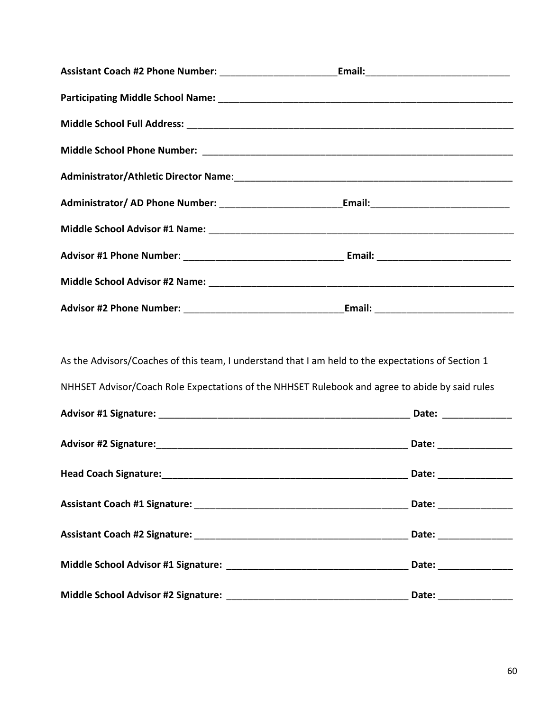| As the Advisors/Coaches of this team, I understand that I am held to the expectations of Section 1<br>NHHSET Advisor/Coach Role Expectations of the NHHSET Rulebook and agree to abide by said rules |                        |  |
|------------------------------------------------------------------------------------------------------------------------------------------------------------------------------------------------------|------------------------|--|
|                                                                                                                                                                                                      |                        |  |
|                                                                                                                                                                                                      |                        |  |
|                                                                                                                                                                                                      |                        |  |
|                                                                                                                                                                                                      |                        |  |
|                                                                                                                                                                                                      |                        |  |
|                                                                                                                                                                                                      |                        |  |
|                                                                                                                                                                                                      | Date: ________________ |  |